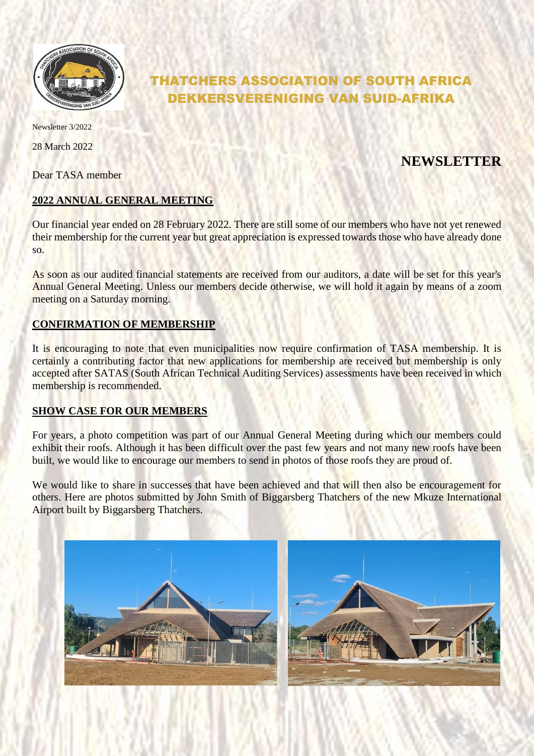

# THATCHERS ASSOCIATION OF SOUTH AFRICA DEKKERSVERENIGING VAN SUID-AFRIKA

Newsletter 3/2022

28 March 2022

Dear TASA member

## **NEWSLETTER**

## **2022 ANNUAL GENERAL MEETING**

Our financial year ended on 28 February 2022. There are still some of our members who have not yet renewed their membership for the current year but great appreciation is expressed towards those who have already done so.

As soon as our audited financial statements are received from our auditors, a date will be set for this year's Annual General Meeting. Unless our members decide otherwise, we will hold it again by means of a zoom meeting on a Saturday morning.

## **CONFIRMATION OF MEMBERSHIP**

It is encouraging to note that even municipalities now require confirmation of TASA membership. It is certainly a contributing factor that new applications for membership are received but membership is only accepted after SATAS (South African Technical Auditing Services) assessments have been received in which membership is recommended.

## **SHOW CASE FOR OUR MEMBERS**

For years, a photo competition was part of our Annual General Meeting during which our members could exhibit their roofs. Although it has been difficult over the past few years and not many new roofs have been built, we would like to encourage our members to send in photos of those roofs they are proud of.

We would like to share in successes that have been achieved and that will then also be encouragement for others. Here are photos submitted by John Smith of Biggarsberg Thatchers of the new Mkuze International Airport built by Biggarsberg Thatchers.